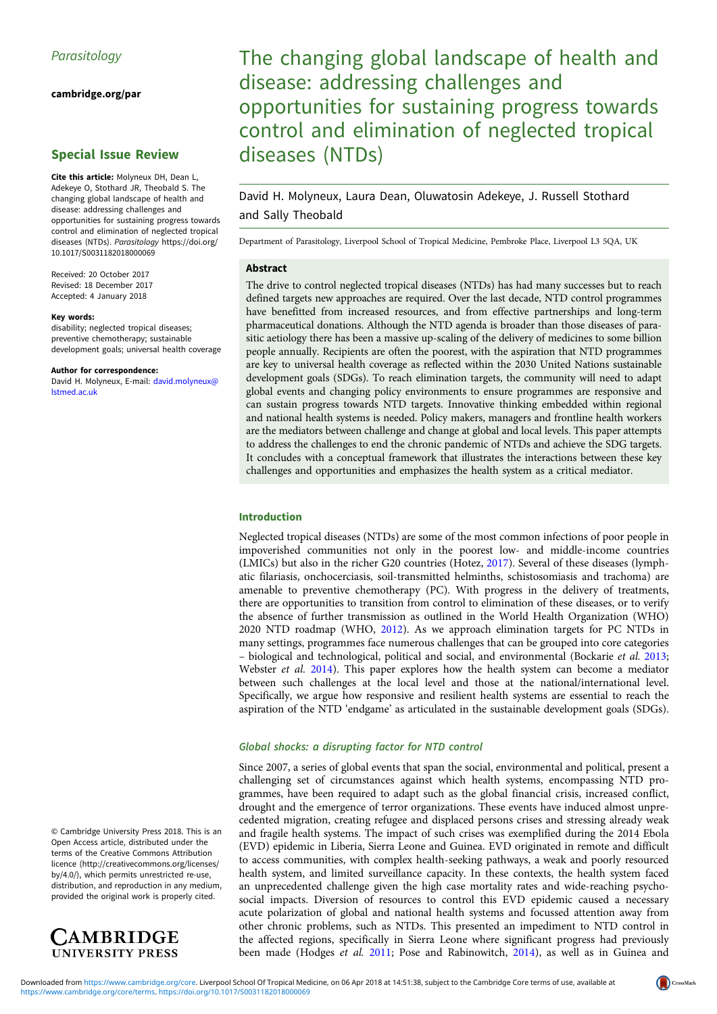[cambridge.org/par](https://www.cambridge.org/par)

# Special Issue Review

Cite this article: Molyneux DH, Dean L, Adekeye O, Stothard JR, Theobald S. The changing global landscape of health and disease: addressing challenges and opportunities for sustaining progress towards control and elimination of neglected tropical diseases (NTDs). Parasitology [https://doi.org/](https://doi.org/10.1017/S0031182018000069) [10.1017/S0031182018000069](https://doi.org/10.1017/S0031182018000069)

Received: 20 October 2017 Revised: 18 December 2017 Accepted: 4 January 2018

#### Key words:

disability; neglected tropical diseases; preventive chemotherapy; sustainable development goals; universal health coverage

Author for correspondence:

David H. Molyneux, E-mail: [david.molyneux@](mailto:david.molyneux@lstmed.ac.uk) [lstmed.ac.uk](mailto:david.molyneux@lstmed.ac.uk)

© Cambridge University Press 2018. This is an Open Access article, distributed under the terms of the Creative Commons Attribution licence (http://creativecommons.org/licenses/ by/4.0/), which permits unrestricted re-use, distribution, and reproduction in any medium, provided the original work is properly cited.



The changing global landscape of health and disease: addressing challenges and opportunities for sustaining progress towards control and elimination of neglected tropical diseases (NTDs)

David H. Molyneux, Laura Dean, Oluwatosin Adekeye, J. Russell Stothard and Sally Theobald

Department of Parasitology, Liverpool School of Tropical Medicine, Pembroke Place, Liverpool L3 5QA, UK

## Abstract

The drive to control neglected tropical diseases (NTDs) has had many successes but to reach defined targets new approaches are required. Over the last decade, NTD control programmes have benefitted from increased resources, and from effective partnerships and long-term pharmaceutical donations. Although the NTD agenda is broader than those diseases of parasitic aetiology there has been a massive up-scaling of the delivery of medicines to some billion people annually. Recipients are often the poorest, with the aspiration that NTD programmes are key to universal health coverage as reflected within the 2030 United Nations sustainable development goals (SDGs). To reach elimination targets, the community will need to adapt global events and changing policy environments to ensure programmes are responsive and can sustain progress towards NTD targets. Innovative thinking embedded within regional and national health systems is needed. Policy makers, managers and frontline health workers are the mediators between challenge and change at global and local levels. This paper attempts to address the challenges to end the chronic pandemic of NTDs and achieve the SDG targets. It concludes with a conceptual framework that illustrates the interactions between these key challenges and opportunities and emphasizes the health system as a critical mediator.

## Introduction

Neglected tropical diseases (NTDs) are some of the most common infections of poor people in impoverished communities not only in the poorest low- and middle-income countries (LMICs) but also in the richer G20 countries (Hotez, [2017](#page-7-0)). Several of these diseases (lymphatic filariasis, onchocerciasis, soil-transmitted helminths, schistosomiasis and trachoma) are amenable to preventive chemotherapy (PC). With progress in the delivery of treatments, there are opportunities to transition from control to elimination of these diseases, or to verify the absence of further transmission as outlined in the World Health Organization (WHO) 2020 NTD roadmap (WHO, [2012\)](#page-7-0). As we approach elimination targets for PC NTDs in many settings, programmes face numerous challenges that can be grouped into core categories – biological and technological, political and social, and environmental (Bockarie et al. [2013](#page-6-0); Webster *et al.* [2014](#page-7-0)). This paper explores how the health system can become a mediator between such challenges at the local level and those at the national/international level. Specifically, we argue how responsive and resilient health systems are essential to reach the aspiration of the NTD 'endgame' as articulated in the sustainable development goals (SDGs).

# Global shocks: a disrupting factor for NTD control

Since 2007, a series of global events that span the social, environmental and political, present a challenging set of circumstances against which health systems, encompassing NTD programmes, have been required to adapt such as the global financial crisis, increased conflict, drought and the emergence of terror organizations. These events have induced almost unprecedented migration, creating refugee and displaced persons crises and stressing already weak and fragile health systems. The impact of such crises was exemplified during the 2014 Ebola (EVD) epidemic in Liberia, Sierra Leone and Guinea. EVD originated in remote and difficult to access communities, with complex health-seeking pathways, a weak and poorly resourced health system, and limited surveillance capacity. In these contexts, the health system faced an unprecedented challenge given the high case mortality rates and wide-reaching psychosocial impacts. Diversion of resources to control this EVD epidemic caused a necessary acute polarization of global and national health systems and focussed attention away from other chronic problems, such as NTDs. This presented an impediment to NTD control in the affected regions, specifically in Sierra Leone where significant progress had previously been made (Hodges et al. [2011](#page-7-0); Pose and Rabinowitch, [2014](#page-7-0)), as well as in Guinea and

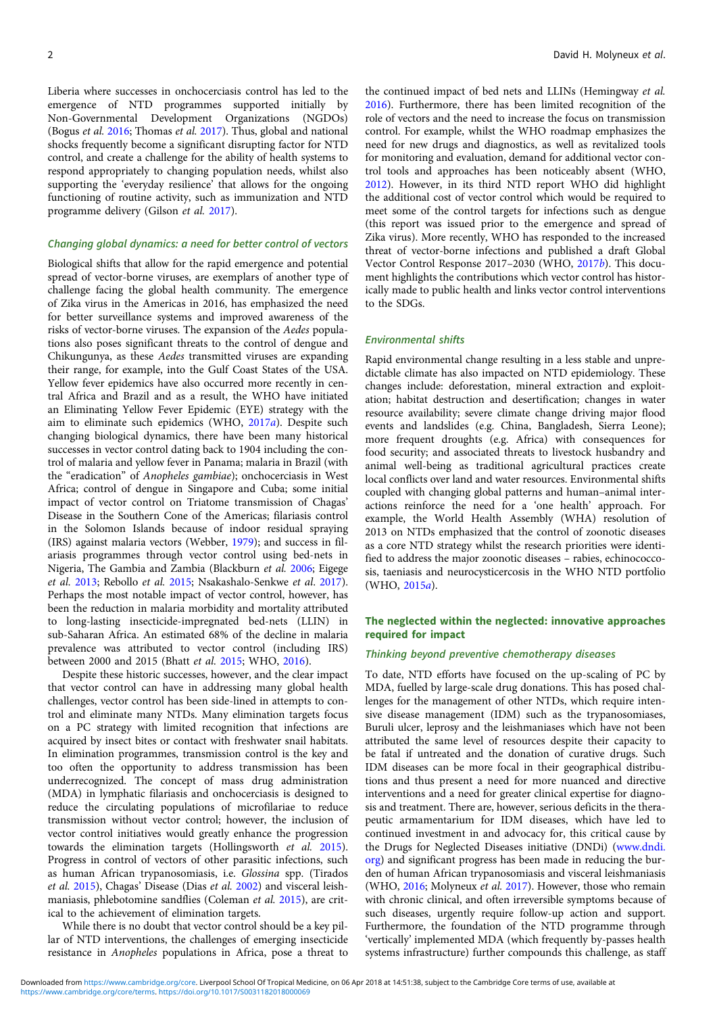Liberia where successes in onchocerciasis control has led to the emergence of NTD programmes supported initially by Non-Governmental Development Organizations (NGDOs) (Bogus et al. [2016](#page-6-0); Thomas et al. [2017](#page-7-0)). Thus, global and national shocks frequently become a significant disrupting factor for NTD control, and create a challenge for the ability of health systems to respond appropriately to changing population needs, whilst also supporting the 'everyday resilience' that allows for the ongoing functioning of routine activity, such as immunization and NTD programme delivery (Gilson et al. [2017\)](#page-6-0).

## Changing global dynamics: a need for better control of vectors

Biological shifts that allow for the rapid emergence and potential spread of vector-borne viruses, are exemplars of another type of challenge facing the global health community. The emergence of Zika virus in the Americas in 2016, has emphasized the need for better surveillance systems and improved awareness of the risks of vector-borne viruses. The expansion of the Aedes populations also poses significant threats to the control of dengue and Chikungunya, as these Aedes transmitted viruses are expanding their range, for example, into the Gulf Coast States of the USA. Yellow fever epidemics have also occurred more recently in central Africa and Brazil and as a result, the WHO have initiated an Eliminating Yellow Fever Epidemic (EYE) strategy with the aim to eliminate such epidemics (WHO, [2017](#page-7-0)a). Despite such changing biological dynamics, there have been many historical successes in vector control dating back to 1904 including the control of malaria and yellow fever in Panama; malaria in Brazil (with the "eradication" of Anopheles gambiae); onchocerciasis in West Africa; control of dengue in Singapore and Cuba; some initial impact of vector control on Triatome transmission of Chagas' Disease in the Southern Cone of the Americas; filariasis control in the Solomon Islands because of indoor residual spraying (IRS) against malaria vectors (Webber, [1979\)](#page-7-0); and success in filariasis programmes through vector control using bed-nets in Nigeria, The Gambia and Zambia (Blackburn et al. [2006](#page-6-0); Eigege et al. [2013;](#page-6-0) Rebollo et al. [2015;](#page-7-0) Nsakashalo-Senkwe et al. [2017\)](#page-7-0). Perhaps the most notable impact of vector control, however, has been the reduction in malaria morbidity and mortality attributed to long-lasting insecticide-impregnated bed-nets (LLIN) in sub-Saharan Africa. An estimated 68% of the decline in malaria prevalence was attributed to vector control (including IRS) between 2000 and 2015 (Bhatt et al. [2015](#page-6-0); WHO, [2016](#page-7-0)).

Despite these historic successes, however, and the clear impact that vector control can have in addressing many global health challenges, vector control has been side-lined in attempts to control and eliminate many NTDs. Many elimination targets focus on a PC strategy with limited recognition that infections are acquired by insect bites or contact with freshwater snail habitats. In elimination programmes, transmission control is the key and too often the opportunity to address transmission has been underrecognized. The concept of mass drug administration (MDA) in lymphatic filariasis and onchocerciasis is designed to reduce the circulating populations of microfilariae to reduce transmission without vector control; however, the inclusion of vector control initiatives would greatly enhance the progression towards the elimination targets (Hollingsworth et al. [2015\)](#page-7-0). Progress in control of vectors of other parasitic infections, such as human African trypanosomiasis, i.e. Glossina spp. (Tirados et al. [2015](#page-7-0)), Chagas' Disease (Dias et al. [2002](#page-6-0)) and visceral leishmaniasis, phlebotomine sandflies (Coleman et al. [2015](#page-6-0)), are critical to the achievement of elimination targets.

While there is no doubt that vector control should be a key pillar of NTD interventions, the challenges of emerging insecticide resistance in Anopheles populations in Africa, pose a threat to

the continued impact of bed nets and LLINs (Hemingway et al. [2016\)](#page-6-0). Furthermore, there has been limited recognition of the role of vectors and the need to increase the focus on transmission control. For example, whilst the WHO roadmap emphasizes the need for new drugs and diagnostics, as well as revitalized tools for monitoring and evaluation, demand for additional vector control tools and approaches has been noticeably absent (WHO, [2012\)](#page-7-0). However, in its third NTD report WHO did highlight the additional cost of vector control which would be required to meet some of the control targets for infections such as dengue (this report was issued prior to the emergence and spread of Zika virus). More recently, WHO has responded to the increased threat of vector-borne infections and published a draft Global Vector Control Response 2017–2030 (WHO, [2017](#page-7-0)b). This document highlights the contributions which vector control has historically made to public health and links vector control interventions to the SDGs.

### Environmental shifts

Rapid environmental change resulting in a less stable and unpredictable climate has also impacted on NTD epidemiology. These changes include: deforestation, mineral extraction and exploitation; habitat destruction and desertification; changes in water resource availability; severe climate change driving major flood events and landslides (e.g. China, Bangladesh, Sierra Leone); more frequent droughts (e.g. Africa) with consequences for food security; and associated threats to livestock husbandry and animal well-being as traditional agricultural practices create local conflicts over land and water resources. Environmental shifts coupled with changing global patterns and human–animal interactions reinforce the need for a 'one health' approach. For example, the World Health Assembly (WHA) resolution of 2013 on NTDs emphasized that the control of zoonotic diseases as a core NTD strategy whilst the research priorities were identified to address the major zoonotic diseases – rabies, echinococcosis, taeniasis and neurocysticercosis in the WHO NTD portfolio (WHO, [2015](#page-7-0)a).

## The neglected within the neglected: innovative approaches required for impact

#### Thinking beyond preventive chemotherapy diseases

To date, NTD efforts have focused on the up-scaling of PC by MDA, fuelled by large-scale drug donations. This has posed challenges for the management of other NTDs, which require intensive disease management (IDM) such as the trypanosomiases, Buruli ulcer, leprosy and the leishmaniases which have not been attributed the same level of resources despite their capacity to be fatal if untreated and the donation of curative drugs. Such IDM diseases can be more focal in their geographical distributions and thus present a need for more nuanced and directive interventions and a need for greater clinical expertise for diagnosis and treatment. There are, however, serious deficits in the therapeutic armamentarium for IDM diseases, which have led to continued investment in and advocacy for, this critical cause by the Drugs for Neglected Diseases initiative (DNDi) ([www.dndi.](http://www.dndi.org) [org\)](http://www.dndi.org) and significant progress has been made in reducing the burden of human African trypanosomiasis and visceral leishmaniasis (WHO, [2016](#page-7-0); Molyneux et al. [2017](#page-7-0)). However, those who remain with chronic clinical, and often irreversible symptoms because of such diseases, urgently require follow-up action and support. Furthermore, the foundation of the NTD programme through 'vertically' implemented MDA (which frequently by-passes health systems infrastructure) further compounds this challenge, as staff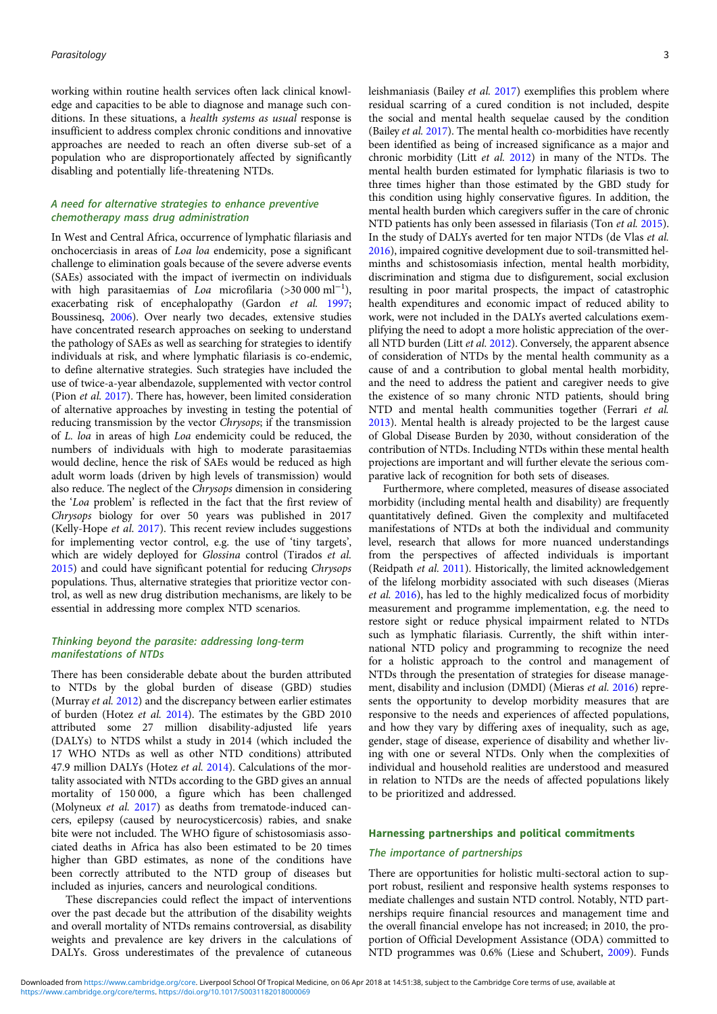working within routine health services often lack clinical knowledge and capacities to be able to diagnose and manage such conditions. In these situations, a health systems as usual response is insufficient to address complex chronic conditions and innovative approaches are needed to reach an often diverse sub-set of a population who are disproportionately affected by significantly disabling and potentially life-threatening NTDs.

# A need for alternative strategies to enhance preventive chemotherapy mass drug administration

In West and Central Africa, occurrence of lymphatic filariasis and onchocerciasis in areas of Loa loa endemicity, pose a significant challenge to elimination goals because of the severe adverse events (SAEs) associated with the impact of ivermectin on individuals with high parasitaemias of  $\overline{L}oa$  microfilaria (>30 000 ml<sup>-1</sup>), exacerbating risk of encephalopathy (Gardon et al. [1997;](#page-6-0) Boussinesq, [2006\)](#page-6-0). Over nearly two decades, extensive studies have concentrated research approaches on seeking to understand the pathology of SAEs as well as searching for strategies to identify individuals at risk, and where lymphatic filariasis is co-endemic, to define alternative strategies. Such strategies have included the use of twice-a-year albendazole, supplemented with vector control (Pion et al. [2017](#page-7-0)). There has, however, been limited consideration of alternative approaches by investing in testing the potential of reducing transmission by the vector Chrysops; if the transmission of L. loa in areas of high Loa endemicity could be reduced, the numbers of individuals with high to moderate parasitaemias would decline, hence the risk of SAEs would be reduced as high adult worm loads (driven by high levels of transmission) would also reduce. The neglect of the Chrysops dimension in considering the 'Loa problem' is reflected in the fact that the first review of Chrysops biology for over 50 years was published in 2017 (Kelly-Hope et al. [2017\)](#page-7-0). This recent review includes suggestions for implementing vector control, e.g. the use of 'tiny targets', which are widely deployed for Glossina control (Tirados et al. [2015\)](#page-7-0) and could have significant potential for reducing Chrysops populations. Thus, alternative strategies that prioritize vector control, as well as new drug distribution mechanisms, are likely to be essential in addressing more complex NTD scenarios.

## Thinking beyond the parasite: addressing long-term manifestations of NTDs

There has been considerable debate about the burden attributed to NTDs by the global burden of disease (GBD) studies (Murray et al. [2012\)](#page-7-0) and the discrepancy between earlier estimates of burden (Hotez et al. [2014](#page-7-0)). The estimates by the GBD 2010 attributed some 27 million disability-adjusted life years (DALYs) to NTDS whilst a study in 2014 (which included the 17 WHO NTDs as well as other NTD conditions) attributed 47.9 million DALYs (Hotez et al. [2014\)](#page-7-0). Calculations of the mortality associated with NTDs according to the GBD gives an annual mortality of 150 000, a figure which has been challenged (Molyneux et al. [2017\)](#page-7-0) as deaths from trematode-induced cancers, epilepsy (caused by neurocysticercosis) rabies, and snake bite were not included. The WHO figure of schistosomiasis associated deaths in Africa has also been estimated to be 20 times higher than GBD estimates, as none of the conditions have been correctly attributed to the NTD group of diseases but included as injuries, cancers and neurological conditions.

These discrepancies could reflect the impact of interventions over the past decade but the attribution of the disability weights and overall mortality of NTDs remains controversial, as disability weights and prevalence are key drivers in the calculations of DALYs. Gross underestimates of the prevalence of cutaneous

leishmaniasis (Bailey et al. [2017](#page-6-0)) exemplifies this problem where residual scarring of a cured condition is not included, despite the social and mental health sequelae caused by the condition (Bailey et al. [2017\)](#page-6-0). The mental health co-morbidities have recently been identified as being of increased significance as a major and chronic morbidity (Litt et al. [2012](#page-7-0)) in many of the NTDs. The mental health burden estimated for lymphatic filariasis is two to three times higher than those estimated by the GBD study for this condition using highly conservative figures. In addition, the mental health burden which caregivers suffer in the care of chronic NTD patients has only been assessed in filariasis (Ton et al. [2015](#page-7-0)). In the study of DALYs averted for ten major NTDs (de Vlas et al. [2016](#page-6-0)), impaired cognitive development due to soil-transmitted helminths and schistosomiasis infection, mental health morbidity, discrimination and stigma due to disfigurement, social exclusion resulting in poor marital prospects, the impact of catastrophic health expenditures and economic impact of reduced ability to work, were not included in the DALYs averted calculations exemplifying the need to adopt a more holistic appreciation of the overall NTD burden (Litt et al. [2012\)](#page-7-0). Conversely, the apparent absence of consideration of NTDs by the mental health community as a cause of and a contribution to global mental health morbidity, and the need to address the patient and caregiver needs to give the existence of so many chronic NTD patients, should bring NTD and mental health communities together (Ferrari et al. [2013](#page-6-0)). Mental health is already projected to be the largest cause of Global Disease Burden by 2030, without consideration of the contribution of NTDs. Including NTDs within these mental health projections are important and will further elevate the serious comparative lack of recognition for both sets of diseases.

Furthermore, where completed, measures of disease associated morbidity (including mental health and disability) are frequently quantitatively defined. Given the complexity and multifaceted manifestations of NTDs at both the individual and community level, research that allows for more nuanced understandings from the perspectives of affected individuals is important (Reidpath et al. [2011](#page-7-0)). Historically, the limited acknowledgement of the lifelong morbidity associated with such diseases (Mieras et al. [2016](#page-7-0)), has led to the highly medicalized focus of morbidity measurement and programme implementation, e.g. the need to restore sight or reduce physical impairment related to NTDs such as lymphatic filariasis. Currently, the shift within international NTD policy and programming to recognize the need for a holistic approach to the control and management of NTDs through the presentation of strategies for disease management, disability and inclusion (DMDI) (Mieras et al. [2016\)](#page-7-0) represents the opportunity to develop morbidity measures that are responsive to the needs and experiences of affected populations, and how they vary by differing axes of inequality, such as age, gender, stage of disease, experience of disability and whether living with one or several NTDs. Only when the complexities of individual and household realities are understood and measured in relation to NTDs are the needs of affected populations likely to be prioritized and addressed.

#### Harnessing partnerships and political commitments

## The importance of partnerships

There are opportunities for holistic multi-sectoral action to support robust, resilient and responsive health systems responses to mediate challenges and sustain NTD control. Notably, NTD partnerships require financial resources and management time and the overall financial envelope has not increased; in 2010, the proportion of Official Development Assistance (ODA) committed to NTD programmes was 0.6% (Liese and Schubert, [2009](#page-7-0)). Funds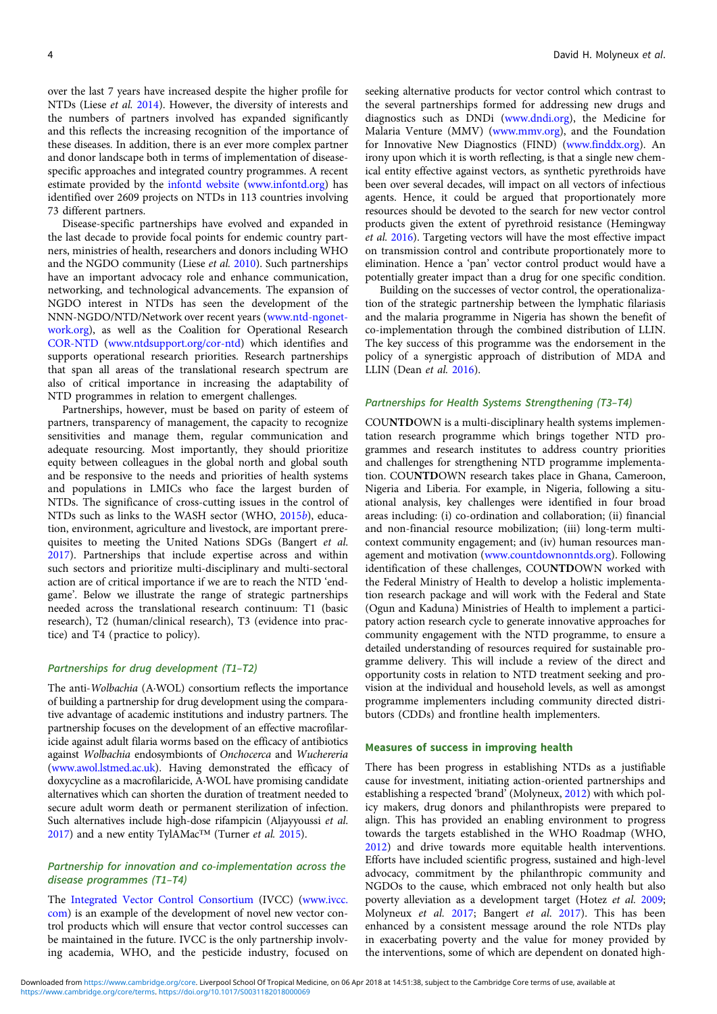over the last 7 years have increased despite the higher profile for NTDs (Liese et al. [2014\)](#page-7-0). However, the diversity of interests and the numbers of partners involved has expanded significantly and this reflects the increasing recognition of the importance of these diseases. In addition, there is an ever more complex partner and donor landscape both in terms of implementation of diseasespecific approaches and integrated country programmes. A recent estimate provided by the [infontd website](#page-7-0) ([www.infontd.org\)](http://www.infontd.org) has identified over 2609 projects on NTDs in 113 countries involving 73 different partners.

Disease-specific partnerships have evolved and expanded in the last decade to provide focal points for endemic country partners, ministries of health, researchers and donors including WHO and the NGDO community (Liese et al. [2010\)](#page-7-0). Such partnerships have an important advocacy role and enhance communication, networking, and technological advancements. The expansion of NGDO interest in NTDs has seen the development of the NNN-NGDO/NTD/Network over recent years ([www.ntd-ngonet](http://www.ntd-ngonetwork.org)[work.org\)](http://www.ntd-ngonetwork.org), as well as the Coalition for Operational Research [COR-NTD](#page-6-0) ([www.ntdsupport.org/cor-ntd\)](http://www.ntdsupport.org/cor-ntd) which identifies and supports operational research priorities. Research partnerships that span all areas of the translational research spectrum are also of critical importance in increasing the adaptability of NTD programmes in relation to emergent challenges.

Partnerships, however, must be based on parity of esteem of partners, transparency of management, the capacity to recognize sensitivities and manage them, regular communication and adequate resourcing. Most importantly, they should prioritize equity between colleagues in the global north and global south and be responsive to the needs and priorities of health systems and populations in LMICs who face the largest burden of NTDs. The significance of cross-cutting issues in the control of NTDs such as links to the WASH sector (WHO, [2015](#page-7-0)b), education, environment, agriculture and livestock, are important prerequisites to meeting the United Nations SDGs (Bangert et al. [2017\)](#page-6-0). Partnerships that include expertise across and within such sectors and prioritize multi-disciplinary and multi-sectoral action are of critical importance if we are to reach the NTD 'endgame'. Below we illustrate the range of strategic partnerships needed across the translational research continuum: T1 (basic research), T2 (human/clinical research), T3 (evidence into practice) and T4 (practice to policy).

### Partnerships for drug development (T1–T2)

The anti-Wolbachia (A·WOL) consortium reflects the importance of building a partnership for drug development using the comparative advantage of academic institutions and industry partners. The partnership focuses on the development of an effective macrofilaricide against adult filaria worms based on the efficacy of antibiotics against Wolbachia endosymbionts of Onchocerca and Wuchereria ([www.awol.lstmed.ac.uk\)](http://www.awol.lstmed.ac.uk). Having demonstrated the efficacy of doxycycline as a macrofilaricide, A·WOL have promising candidate alternatives which can shorten the duration of treatment needed to secure adult worm death or permanent sterilization of infection. Such alternatives include high-dose rifampicin (Aljayyoussi et al. [2017\)](#page-6-0) and a new entity TylAMac™ (Turner et al. [2015\)](#page-7-0).

## Partnership for innovation and co-implementation across the disease programmes (T1–T4)

The [Integrated Vector Control Consortium](#page-7-0) (IVCC) [\(www.ivcc.](http://www.ivcc.com) [com](http://www.ivcc.com)) is an example of the development of novel new vector control products which will ensure that vector control successes can be maintained in the future. IVCC is the only partnership involving academia, WHO, and the pesticide industry, focused on

seeking alternative products for vector control which contrast to the several partnerships formed for addressing new drugs and diagnostics such as DNDi [\(www.dndi.org\)](http://www.dndi.org), the Medicine for Malaria Venture (MMV) [\(www.mmv.org\)](http://www.mmv.org), and the Foundation for Innovative New Diagnostics (FIND) [\(www.finddx.org](http://www.finddx.org)). An irony upon which it is worth reflecting, is that a single new chemical entity effective against vectors, as synthetic pyrethroids have been over several decades, will impact on all vectors of infectious agents. Hence, it could be argued that proportionately more resources should be devoted to the search for new vector control products given the extent of pyrethroid resistance (Hemingway et al. [2016](#page-6-0)). Targeting vectors will have the most effective impact on transmission control and contribute proportionately more to elimination. Hence a 'pan' vector control product would have a potentially greater impact than a drug for one specific condition.

Building on the successes of vector control, the operationalization of the strategic partnership between the lymphatic filariasis and the malaria programme in Nigeria has shown the benefit of co-implementation through the combined distribution of LLIN. The key success of this programme was the endorsement in the policy of a synergistic approach of distribution of MDA and LLIN (Dean et al. [2016\)](#page-6-0).

## Partnerships for Health Systems Strengthening (T3–T4)

COUNTDOWN is a multi-disciplinary health systems implementation research programme which brings together NTD programmes and research institutes to address country priorities and challenges for strengthening NTD programme implementation. COUNTDOWN research takes place in Ghana, Cameroon, Nigeria and Liberia. For example, in Nigeria, following a situational analysis, key challenges were identified in four broad areas including: (i) co-ordination and collaboration; (ii) financial and non-financial resource mobilization; (iii) long-term multicontext community engagement; and (iv) human resources management and motivation [\(www.countdownonntds.org\)](http://www.countdownonntds.org). Following identification of these challenges, COUNTDOWN worked with the Federal Ministry of Health to develop a holistic implementation research package and will work with the Federal and State (Ogun and Kaduna) Ministries of Health to implement a participatory action research cycle to generate innovative approaches for community engagement with the NTD programme, to ensure a detailed understanding of resources required for sustainable programme delivery. This will include a review of the direct and opportunity costs in relation to NTD treatment seeking and provision at the individual and household levels, as well as amongst programme implementers including community directed distributors (CDDs) and frontline health implementers.

#### Measures of success in improving health

There has been progress in establishing NTDs as a justifiable cause for investment, initiating action-oriented partnerships and establishing a respected 'brand' (Molyneux, [2012](#page-7-0)) with which policy makers, drug donors and philanthropists were prepared to align. This has provided an enabling environment to progress towards the targets established in the WHO Roadmap (WHO, [2012\)](#page-7-0) and drive towards more equitable health interventions. Efforts have included scientific progress, sustained and high-level advocacy, commitment by the philanthropic community and NGDOs to the cause, which embraced not only health but also poverty alleviation as a development target (Hotez et al. [2009;](#page-7-0) Molyneux et al. [2017](#page-7-0); Bangert et al. [2017](#page-6-0)). This has been enhanced by a consistent message around the role NTDs play in exacerbating poverty and the value for money provided by the interventions, some of which are dependent on donated high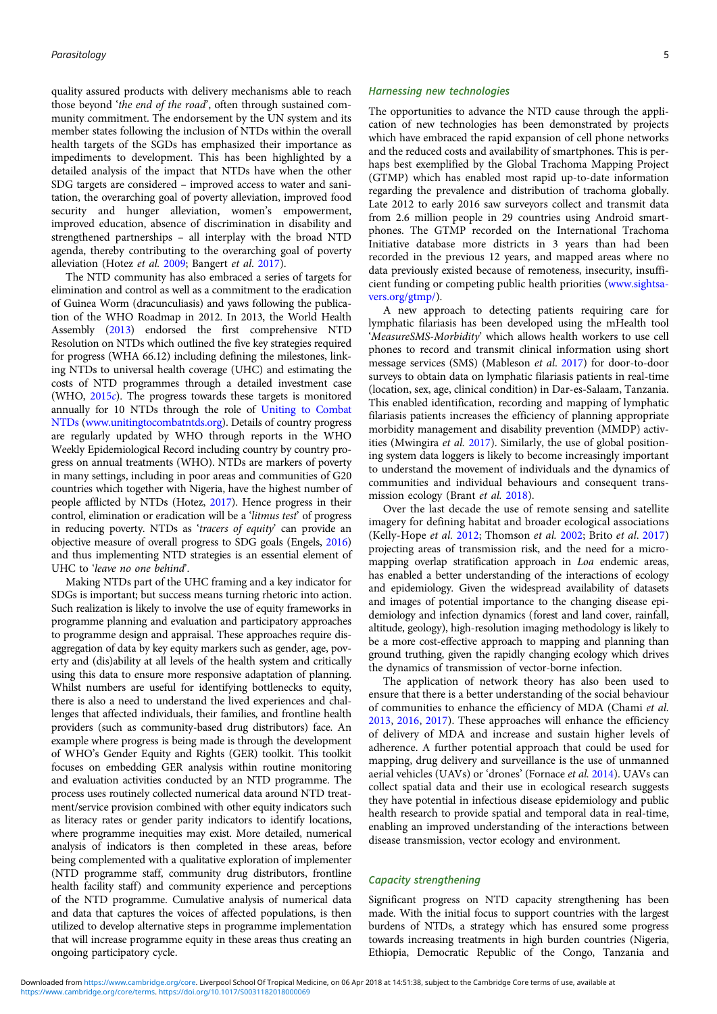quality assured products with delivery mechanisms able to reach those beyond 'the end of the road', often through sustained community commitment. The endorsement by the UN system and its member states following the inclusion of NTDs within the overall health targets of the SGDs has emphasized their importance as impediments to development. This has been highlighted by a detailed analysis of the impact that NTDs have when the other SDG targets are considered – improved access to water and sanitation, the overarching goal of poverty alleviation, improved food security and hunger alleviation, women's empowerment, improved education, absence of discrimination in disability and strengthened partnerships – all interplay with the broad NTD agenda, thereby contributing to the overarching goal of poverty alleviation (Hotez et al. [2009](#page-7-0); Bangert et al. [2017](#page-6-0)).

The NTD community has also embraced a series of targets for elimination and control as well as a commitment to the eradication of Guinea Worm (dracunculiasis) and yaws following the publication of the WHO Roadmap in 2012. In 2013, the World Health Assembly ([2013\)](#page-7-0) endorsed the first comprehensive NTD Resolution on NTDs which outlined the five key strategies required for progress (WHA 66.12) including defining the milestones, linking NTDs to universal health coverage (UHC) and estimating the costs of NTD programmes through a detailed investment case (WHO, [2015](#page-7-0)c). The progress towards these targets is monitored annually for 10 NTDs through the role of [Uniting to Combat](#page-7-0) [NTDs](#page-7-0) [\(www.unitingtocombatntds.org](http://www.unitingtocombatntds.org)). Details of country progress are regularly updated by WHO through reports in the WHO Weekly Epidemiological Record including country by country progress on annual treatments (WHO). NTDs are markers of poverty in many settings, including in poor areas and communities of G20 countries which together with Nigeria, have the highest number of people afflicted by NTDs (Hotez, [2017](#page-7-0)). Hence progress in their control, elimination or eradication will be a 'litmus test' of progress in reducing poverty. NTDs as 'tracers of equity' can provide an objective measure of overall progress to SDG goals (Engels, [2016\)](#page-6-0) and thus implementing NTD strategies is an essential element of UHC to 'leave no one behind'.

Making NTDs part of the UHC framing and a key indicator for SDGs is important; but success means turning rhetoric into action. Such realization is likely to involve the use of equity frameworks in programme planning and evaluation and participatory approaches to programme design and appraisal. These approaches require disaggregation of data by key equity markers such as gender, age, poverty and (dis)ability at all levels of the health system and critically using this data to ensure more responsive adaptation of planning. Whilst numbers are useful for identifying bottlenecks to equity, there is also a need to understand the lived experiences and challenges that affected individuals, their families, and frontline health providers (such as community-based drug distributors) face. An example where progress is being made is through the development of WHO's Gender Equity and Rights (GER) toolkit. This toolkit focuses on embedding GER analysis within routine monitoring and evaluation activities conducted by an NTD programme. The process uses routinely collected numerical data around NTD treatment/service provision combined with other equity indicators such as literacy rates or gender parity indicators to identify locations, where programme inequities may exist. More detailed, numerical analysis of indicators is then completed in these areas, before being complemented with a qualitative exploration of implementer (NTD programme staff, community drug distributors, frontline health facility staff) and community experience and perceptions of the NTD programme. Cumulative analysis of numerical data and data that captures the voices of affected populations, is then utilized to develop alternative steps in programme implementation that will increase programme equity in these areas thus creating an ongoing participatory cycle.

## Harnessing new technologies

The opportunities to advance the NTD cause through the application of new technologies has been demonstrated by projects which have embraced the rapid expansion of cell phone networks and the reduced costs and availability of smartphones. This is perhaps best exemplified by the Global Trachoma Mapping Project (GTMP) which has enabled most rapid up-to-date information regarding the prevalence and distribution of trachoma globally. Late 2012 to early 2016 saw surveyors collect and transmit data from 2.6 million people in 29 countries using Android smartphones. The GTMP recorded on the International Trachoma Initiative database more districts in 3 years than had been recorded in the previous 12 years, and mapped areas where no data previously existed because of remoteness, insecurity, insufficient funding or competing public health priorities [\(www.sightsa](http://www.sightsavers.org/gtmp/)[vers.org/gtmp/\)](http://www.sightsavers.org/gtmp/).

A new approach to detecting patients requiring care for lymphatic filariasis has been developed using the mHealth tool 'MeasureSMS-Morbidity' which allows health workers to use cell phones to record and transmit clinical information using short message services (SMS) (Mableson et al. [2017](#page-7-0)) for door-to-door surveys to obtain data on lymphatic filariasis patients in real-time (location, sex, age, clinical condition) in Dar-es-Salaam, Tanzania. This enabled identification, recording and mapping of lymphatic filariasis patients increases the efficiency of planning appropriate morbidity management and disability prevention (MMDP) activities (Mwingira et al. [2017\)](#page-7-0). Similarly, the use of global positioning system data loggers is likely to become increasingly important to understand the movement of individuals and the dynamics of communities and individual behaviours and consequent transmission ecology (Brant et al. [2018](#page-6-0)).

Over the last decade the use of remote sensing and satellite imagery for defining habitat and broader ecological associations (Kelly-Hope et al. [2012;](#page-7-0) Thomson et al. [2002](#page-7-0); Brito et al. [2017](#page-6-0)) projecting areas of transmission risk, and the need for a micromapping overlap stratification approach in Loa endemic areas, has enabled a better understanding of the interactions of ecology and epidemiology. Given the widespread availability of datasets and images of potential importance to the changing disease epidemiology and infection dynamics (forest and land cover, rainfall, altitude, geology), high-resolution imaging methodology is likely to be a more cost-effective approach to mapping and planning than ground truthing, given the rapidly changing ecology which drives the dynamics of transmission of vector-borne infection.

The application of network theory has also been used to ensure that there is a better understanding of the social behaviour of communities to enhance the efficiency of MDA (Chami et al. [2013,](#page-6-0) [2016](#page-6-0), [2017\)](#page-6-0). These approaches will enhance the efficiency of delivery of MDA and increase and sustain higher levels of adherence. A further potential approach that could be used for mapping, drug delivery and surveillance is the use of unmanned aerial vehicles (UAVs) or 'drones' (Fornace et al. [2014\)](#page-6-0). UAVs can collect spatial data and their use in ecological research suggests they have potential in infectious disease epidemiology and public health research to provide spatial and temporal data in real-time, enabling an improved understanding of the interactions between disease transmission, vector ecology and environment.

#### Capacity strengthening

Significant progress on NTD capacity strengthening has been made. With the initial focus to support countries with the largest burdens of NTDs, a strategy which has ensured some progress towards increasing treatments in high burden countries (Nigeria, Ethiopia, Democratic Republic of the Congo, Tanzania and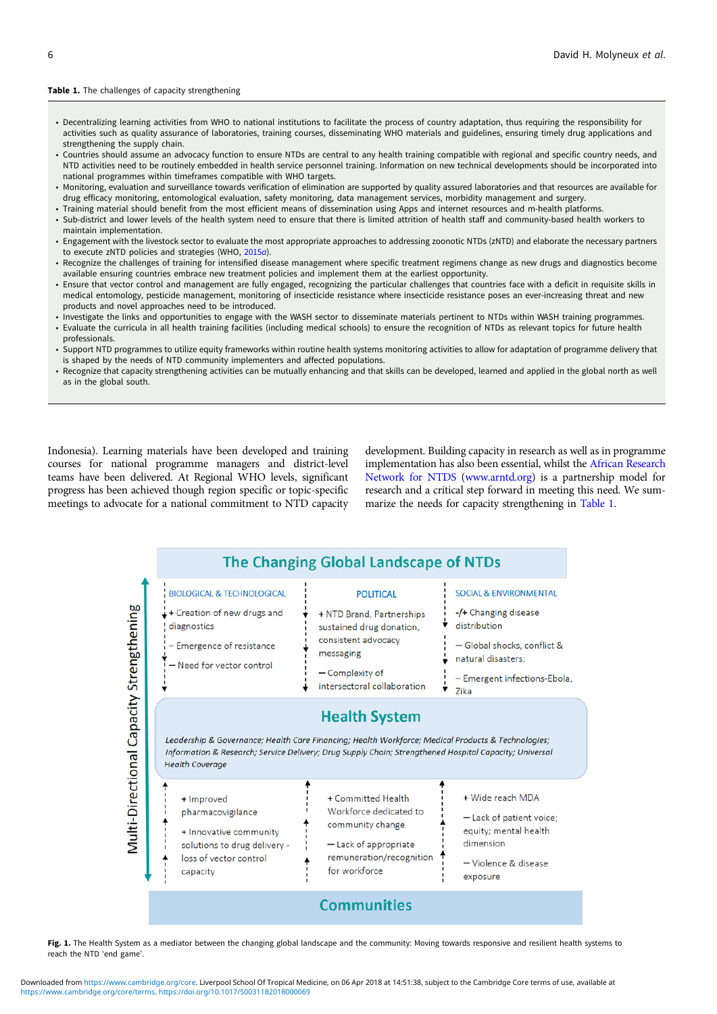#### <span id="page-5-0"></span>Table 1. The challenges of capacity strengthening

- Decentralizing learning activities from WHO to national institutions to facilitate the process of country adaptation, thus requiring the responsibility for activities such as quality assurance of laboratories, training courses, disseminating WHO materials and guidelines, ensuring timely drug applications and strengthening the supply chain.
- Countries should assume an advocacy function to ensure NTDs are central to any health training compatible with regional and specific country needs, and NTD activities need to be routinely embedded in health service personnel training. Information on new technical developments should be incorporated into national programmes within timeframes compatible with WHO targets.
- Monitoring, evaluation and surveillance towards verification of elimination are supported by quality assured laboratories and that resources are available for drug efficacy monitoring, entomological evaluation, safety monitoring, data management services, morbidity management and surgery.
- Training material should benefit from the most efficient means of dissemination using Apps and internet resources and m-health platforms. • Sub-district and lower levels of the health system need to ensure that there is limited attrition of health staff and community-based health workers to
- maintain implementation. • Engagement with the livestock sector to evaluate the most appropriate approaches to addressing zoonotic NTDs (zNTD) and elaborate the necessary partners
- to execute zNTD policies and strategies (WHO, [2015](#page-7-0)a). • Recognize the challenges of training for intensified disease management where specific treatment regimens change as new drugs and diagnostics become
- available ensuring countries embrace new treatment policies and implement them at the earliest opportunity. • Ensure that vector control and management are fully engaged, recognizing the particular challenges that countries face with a deficit in requisite skills in medical entomology, pesticide management, monitoring of insecticide resistance where insecticide resistance poses an ever-increasing threat and new
- products and novel approaches need to be introduced.
- Investigate the links and opportunities to engage with the WASH sector to disseminate materials pertinent to NTDs within WASH training programmes.
- Evaluate the curricula in all health training facilities (including medical schools) to ensure the recognition of NTDs as relevant topics for future health professionals.
- Support NTD programmes to utilize equity frameworks within routine health systems monitoring activities to allow for adaptation of programme delivery that is shaped by the needs of NTD community implementers and affected populations.
- Recognize that capacity strengthening activities can be mutually enhancing and that skills can be developed, learned and applied in the global north as well as in the global south.

Indonesia). Learning materials have been developed and training courses for national programme managers and district-level teams have been delivered. At Regional WHO levels, significant progress has been achieved though region specific or topic-specific meetings to advocate for a national commitment to NTD capacity

development. Building capacity in research as well as in programme implementation has also been essential, whilst the [African Research](#page-6-0) [Network for NTDS](#page-6-0) [\(www.arntd.org\)](http://www.arntd.org) is a partnership model for research and a critical step forward in meeting this need. We summarize the needs for capacity strengthening in Table 1.



Fig. 1. The Health System as a mediator between the changing global landscape and the community: Moving towards responsive and resilient health systems to reach the NTD 'end game'.

[https://www.cambridge.org/core/terms.](https://www.cambridge.org/core/terms) <https://doi.org/10.1017/S0031182018000069> Downloaded from [https://www.cambridge.org/core.](https://www.cambridge.org/core) Liverpool School Of Tropical Medicine, on 06 Apr 2018 at 14:51:38, subject to the Cambridge Core terms of use, available at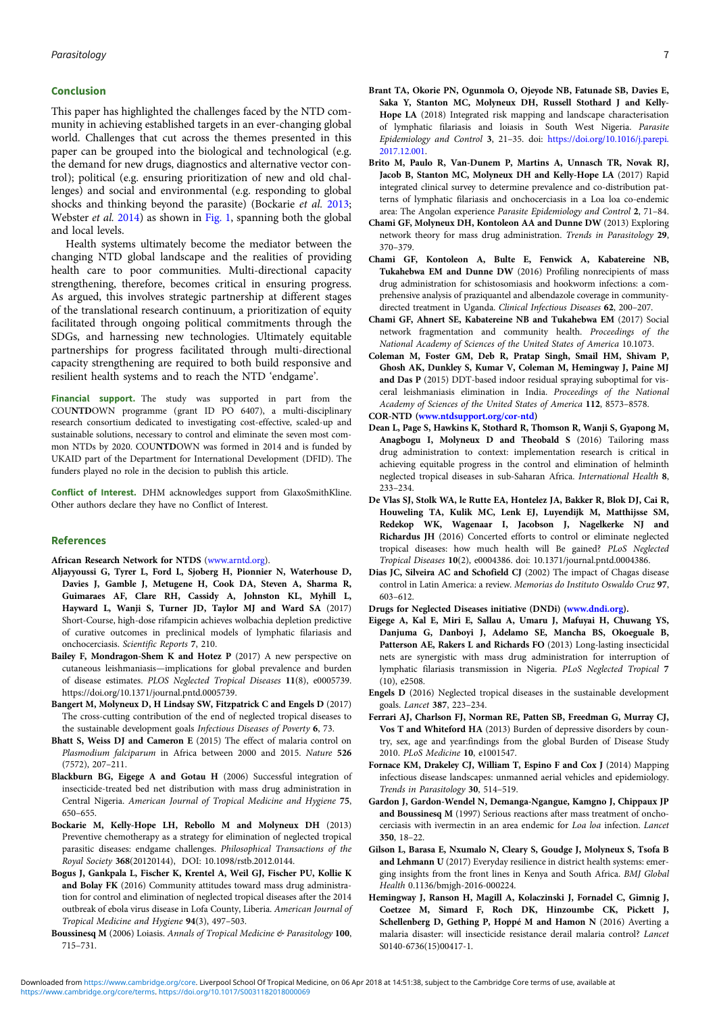## <span id="page-6-0"></span>Conclusion

This paper has highlighted the challenges faced by the NTD community in achieving established targets in an ever-changing global world. Challenges that cut across the themes presented in this paper can be grouped into the biological and technological (e.g. the demand for new drugs, diagnostics and alternative vector control); political (e.g. ensuring prioritization of new and old challenges) and social and environmental (e.g. responding to global shocks and thinking beyond the parasite) (Bockarie et al. 2013; Webster *et al.* [2014\)](#page-7-0) as shown in [Fig. 1,](#page-5-0) spanning both the global and local levels.

Health systems ultimately become the mediator between the changing NTD global landscape and the realities of providing health care to poor communities. Multi-directional capacity strengthening, therefore, becomes critical in ensuring progress. As argued, this involves strategic partnership at different stages of the translational research continuum, a prioritization of equity facilitated through ongoing political commitments through the SDGs, and harnessing new technologies. Ultimately equitable partnerships for progress facilitated through multi-directional capacity strengthening are required to both build responsive and resilient health systems and to reach the NTD 'endgame'.

Financial support. The study was supported in part from the COUNTDOWN programme (grant ID PO 6407), a multi-disciplinary research consortium dedicated to investigating cost-effective, scaled-up and sustainable solutions, necessary to control and eliminate the seven most common NTDs by 2020. COUNTDOWN was formed in 2014 and is funded by UKAID part of the Department for International Development (DFID). The funders played no role in the decision to publish this article.

Conflict of Interest. DHM acknowledges support from GlaxoSmithKline. Other authors declare they have no Conflict of Interest.

#### References

African Research Network for NTDS [\(www.arntd.org\)](http://www.arntd.org).

- Aljayyoussi G, Tyrer L, Ford L, Sjoberg H, Pionnier N, Waterhouse D, Davies J, Gamble J, Metugene H, Cook DA, Steven A, Sharma R, Guimaraes AF, Clare RH, Cassidy A, Johnston KL, Myhill L, Hayward L, Wanji S, Turner JD, Taylor MJ and Ward SA (2017) Short-Course, high-dose rifampicin achieves wolbachia depletion predictive of curative outcomes in preclinical models of lymphatic filariasis and onchocerciasis. Scientific Reports 7, 210.
- Bailey F, Mondragon-Shem K and Hotez P (2017) A new perspective on cutaneous leishmaniasis—implications for global prevalence and burden of disease estimates. PLOS Neglected Tropical Diseases 11(8), e0005739. https://doi.org/10.1371/journal.pntd.0005739.
- Bangert M, Molyneux D, H Lindsay SW, Fitzpatrick C and Engels D (2017) The cross-cutting contribution of the end of neglected tropical diseases to the sustainable development goals Infectious Diseases of Poverty 6, 73.
- Bhatt S, Weiss DJ and Cameron E (2015) The effect of malaria control on Plasmodium falciparum in Africa between 2000 and 2015. Nature 526 (7572), 207–211.
- Blackburn BG, Eigege A and Gotau H (2006) Successful integration of insecticide-treated bed net distribution with mass drug administration in Central Nigeria. American Journal of Tropical Medicine and Hygiene 75, 650–655.
- Bockarie M, Kelly-Hope LH, Rebollo M and Molyneux DH (2013) Preventive chemotherapy as a strategy for elimination of neglected tropical parasitic diseases: endgame challenges. Philosophical Transactions of the Royal Society 368(20120144), DOI: 10.1098/rstb.2012.0144.
- Bogus J, Gankpala L, Fischer K, Krentel A, Weil GJ, Fischer PU, Kollie K and Bolay FK (2016) Community attitudes toward mass drug administration for control and elimination of neglected tropical diseases after the 2014 outbreak of ebola virus disease in Lofa County, Liberia. American Journal of Tropical Medicine and Hygiene 94(3), 497–503.
- Boussinesq M (2006) Loiasis. Annals of Tropical Medicine & Parasitology 100, 715–731.
- Brant TA, Okorie PN, Ogunmola O, Ojeyode NB, Fatunade SB, Davies E, Saka Y, Stanton MC, Molyneux DH, Russell Stothard J and Kelly-Hope LA (2018) Integrated risk mapping and landscape characterisation of lymphatic filariasis and loiasis in South West Nigeria. Parasite Epidemiology and Control 3, 21–35. doi: [https://doi.org/10.1016/j.parepi.](https://doi.org/10.1016/j.parepi.2017.12.001) [2017.12.001](https://doi.org/10.1016/j.parepi.2017.12.001).
- Brito M, Paulo R, Van-Dunem P, Martins A, Unnasch TR, Novak RJ, Jacob B, Stanton MC, Molyneux DH and Kelly-Hope LA (2017) Rapid integrated clinical survey to determine prevalence and co-distribution patterns of lymphatic filariasis and onchocerciasis in a Loa loa co-endemic area: The Angolan experience Parasite Epidemiology and Control 2, 71–84.
- Chami GF, Molyneux DH, Kontoleon AA and Dunne DW (2013) Exploring network theory for mass drug administration. Trends in Parasitology 29, 370–379.
- Chami GF, Kontoleon A, Bulte E, Fenwick A, Kabatereine NB, Tukahebwa EM and Dunne DW (2016) Profiling nonrecipients of mass drug administration for schistosomiasis and hookworm infections: a comprehensive analysis of praziquantel and albendazole coverage in communitydirected treatment in Uganda. Clinical Infectious Diseases 62, 200–207.
- Chami GF, Ahnert SE, Kabatereine NB and Tukahebwa EM (2017) Social network fragmentation and community health. Proceedings of the National Academy of Sciences of the United States of America 10.1073.
- Coleman M, Foster GM, Deb R, Pratap Singh, Smail HM, Shivam P, Ghosh AK, Dunkley S, Kumar V, Coleman M, Hemingway J, Paine MJ and Das P (2015) DDT-based indoor residual spraying suboptimal for visceral leishmaniasis elimination in India. Proceedings of the National Academy of Sciences of the United States of America 112, 8573–8578.
- COR-NTD ([www.ntdsupport.org/cor-ntd\)](http://www.ntdsupport.org/cor-ntd)
- Dean L, Page S, Hawkins K, Stothard R, Thomson R, Wanji S, Gyapong M, Anagbogu I, Molyneux D and Theobald S (2016) Tailoring mass drug administration to context: implementation research is critical in achieving equitable progress in the control and elimination of helminth neglected tropical diseases in sub-Saharan Africa. International Health 8, 233–234.
- De Vlas SJ, Stolk WA, le Rutte EA, Hontelez JA, Bakker R, Blok DJ, Cai R, Houweling TA, Kulik MC, Lenk EJ, Luyendijk M, Matthijsse SM, Redekop WK, Wagenaar I, Jacobson J, Nagelkerke NJ and Richardus JH (2016) Concerted efforts to control or eliminate neglected tropical diseases: how much health will Be gained? PLoS Neglected Tropical Diseases 10(2), e0004386. doi: 10.1371/journal.pntd.0004386.
- Dias JC, Silveira AC and Schofield CJ (2002) The impact of Chagas disease control in Latin America: a review. Memorias do Instituto Oswaldo Cruz 97, 603–612.
- Drugs for Neglected Diseases initiative (DNDi) ([www.dndi.org\)](http://www.dndi.org).
- Eigege A, Kal E, Miri E, Sallau A, Umaru J, Mafuyai H, Chuwang YS, Danjuma G, Danboyi J, Adelamo SE, Mancha BS, Okoeguale B, Patterson AE, Rakers L and Richards FO (2013) Long-lasting insecticidal nets are synergistic with mass drug administration for interruption of lymphatic filariasis transmission in Nigeria. PLoS Neglected Tropical 7 (10), e2508.
- Engels D (2016) Neglected tropical diseases in the sustainable development goals. Lancet 387, 223–234.
- Ferrari AJ, Charlson FJ, Norman RE, Patten SB, Freedman G, Murray CJ, Vos T and Whiteford HA (2013) Burden of depressive disorders by country, sex, age and year:findings from the global Burden of Disease Study 2010. PLoS Medicine 10, e1001547.
- Fornace KM, Drakeley CJ, William T, Espino F and Cox J (2014) Mapping infectious disease landscapes: unmanned aerial vehicles and epidemiology. Trends in Parasitology 30, 514–519.
- Gardon J, Gardon-Wendel N, Demanga-Ngangue, Kamgno J, Chippaux JP and Boussinesq M (1997) Serious reactions after mass treatment of onchocerciasis with ivermectin in an area endemic for Loa loa infection. Lancet 350, 18–22.
- Gilson L, Barasa E, Nxumalo N, Cleary S, Goudge J, Molyneux S, Tsofa B and Lehmann U (2017) Everyday resilience in district health systems: emerging insights from the front lines in Kenya and South Africa. BMJ Global Health 0.1136/bmjgh-2016-000224.
- Hemingway J, Ranson H, Magill A, Kolaczinski J, Fornadel C, Gimnig J, Coetzee M, Simard F, Roch DK, Hinzoumbe CK, Pickett J, Schellenberg D, Gething P, Hoppé M and Hamon N (2016) Averting a malaria disaster: will insecticide resistance derail malaria control? Lancet S0140-6736(15)00417-1.